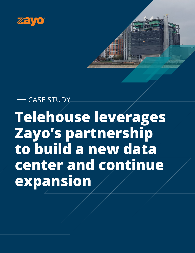



# **Telehouse leverages Zayo's partnership to build a new data center and continue expansion** CASE STUDY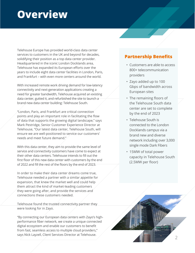### **Overview**

Telehouse Europe has provided world-class data center services to customers in the UK and beyond for decades, solidifying their position as a top data center provider. Headquartered in the iconic London Docklands area, Telehouse has expanded its European efforts over the years to include eight data center facilities in London, Paris, and Frankfurt – with even more centers around the world.

With increased remote work driving demand for low-latency connectivity and next-generation applications creating a need for greater bandwidth, Telehouse acquired an existing data center, gutted it, and refurbished the site to launch a brand new data center building: Telehouse South.

"London, Paris, and Frankfurt are critical connection points and play an important role in facilitating the flow of data that supports the growing digital landscape," says Mark Pestridge, Senior Customer Experience Director at Telehouse, "Our latest data center, Telehouse South, will ensure we are well-positioned to service our customers' needs and meet future demand."

With this data center, they aim to provide the same level of service and connectivity customers have come to expect at their other data centers. Telehouse intends to fill out the first floor of this new data center with customers by the end of 2022 and fill the rest of the floors by the end of 2023.

In order to make their data center dreams come true, Telehouse needed a partner with a similar appetite for expansion, that knew the market well and could help them attract the kind of market-leading customers they were going after, and provide the services and connections these customers needed.

Telehouse found the trusted connectivity partner they were looking for in Zayo.

"By connecting our European data centers with Zayo's highperformance fiber network, we create a unique connected digital ecosystem and enable our customers to benefit from fast, seamless access to multiple cloud providers," says Nick Layzell, Client Services Director at Telehouse.

#### **Partnership Benefits**

- Customers are able to access 800+ telecommunication providers
- Zayo added up to 100 Gbps of bandwidth across European sites
- The remaining floors of the Telehouse South data center are set to complete by the end of 2023
- Telehouse South is connected to the London Docklands campus via a brand new and diverse network including over 3,000 single mode Dark Fibers
- 15MW of total power capacity in Telehouse South (2.5MW per floor)

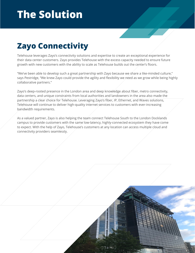### **Zayo Connectivity**

Telehouse leverages Zayo's connectivity solutions and expertise to create an exceptional experience for their data center customers. Zayo provides Telehouse with the excess capacity needed to ensure future growth with new customers with the ability to scale as Telehouse builds out the center's floors.

"We've been able to develop such a great partnership with Zayo because we share a like-minded culture," says Pestridge, "We knew Zayo could provide the agility and flexibility we need as we grow while being highly collaborative partners."

Zayo's deep-rooted presence in the London area and deep knowledge about fiber, metro connectivity, data centers, and unique constraints from local authorities and landowners in the area also made the partnership a clear choice for Telehouse. Leveraging Zayo's fiber, IP, Ethernet, and Waves solutions, Telehouse will continue to deliver high-quality internet services to customers with ever-increasing bandwidth requirements.

As a valued partner, Zayo is also helping the team connect Telehouse South to the London Docklands campus to provide customers with the same low-latency, highly-connected ecosystem they have come to expect. With the help of Zayo, Telehouse's customers at any location can access multiple cloud and connectivity providers seamlessly.

3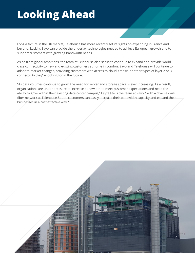## **Looking Ahead**

Long a fixture in the UK market, Telehouse has more recently set its sights on expanding in France and beyond. Luckily, Zayo can provide the underlay technologies needed to achieve European growth and to support customers with growing bandwidth needs.

Aside from global ambitions, the team at Telehouse also seeks to continue to expand and provide worldclass connectivity to new and existing customers at home in London. Zayo and Telehouse will continue to adapt to market changes, providing customers with access to cloud, transit, or other types of layer 2 or 3 connectivity they're looking for in the future.

"As data volumes continue to grow, the need for server and storage space is ever increasing. As a result, organizations are under pressure to increase bandwidth to meet customer expectations and need the ability to grow within their existing data center campus," Layzell tells the team at Zayo, "With a diverse dark fiber network at Telehouse South, customers can easily increase their bandwidth capacity and expand their businesses in a cost-effective way."

4